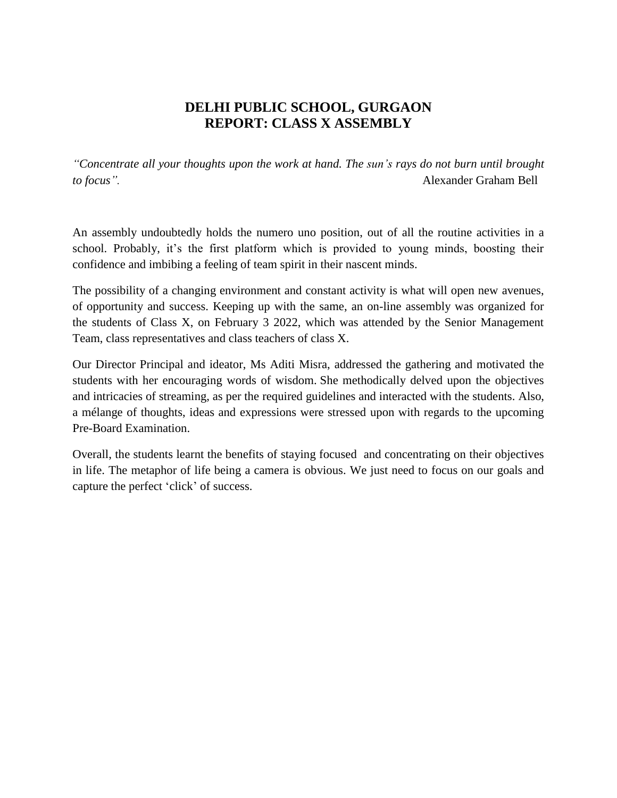## **DELHI PUBLIC SCHOOL, GURGAON REPORT: CLASS X ASSEMBLY**

*"Concentrate all your thoughts upon the work at hand. The sun's rays do not burn until brought to focus".* Alexander Graham Bell

An assembly undoubtedly holds the numero uno position, out of all the routine activities in a school. Probably, it's the first platform which is provided to young minds, boosting their confidence and imbibing a feeling of team spirit in their nascent minds.

The possibility of a changing environment and constant activity is what will open new avenues, of opportunity and success. Keeping up with the same, an on-line assembly was organized for the students of Class X, on February 3 2022, which was attended by the Senior Management Team, class representatives and class teachers of class X.

Our Director Principal and ideator, Ms Aditi Misra, addressed the gathering and motivated the students with her encouraging words of wisdom. She methodically delved upon the objectives and intricacies of streaming, as per the required guidelines and interacted with the students. Also, a mélange of thoughts, ideas and expressions were stressed upon with regards to the upcoming Pre-Board Examination.

Overall, the students learnt the benefits of staying focused and concentrating on their objectives in life. The metaphor of life being a camera is obvious. We just need to focus on our goals and capture the perfect 'click' of success.